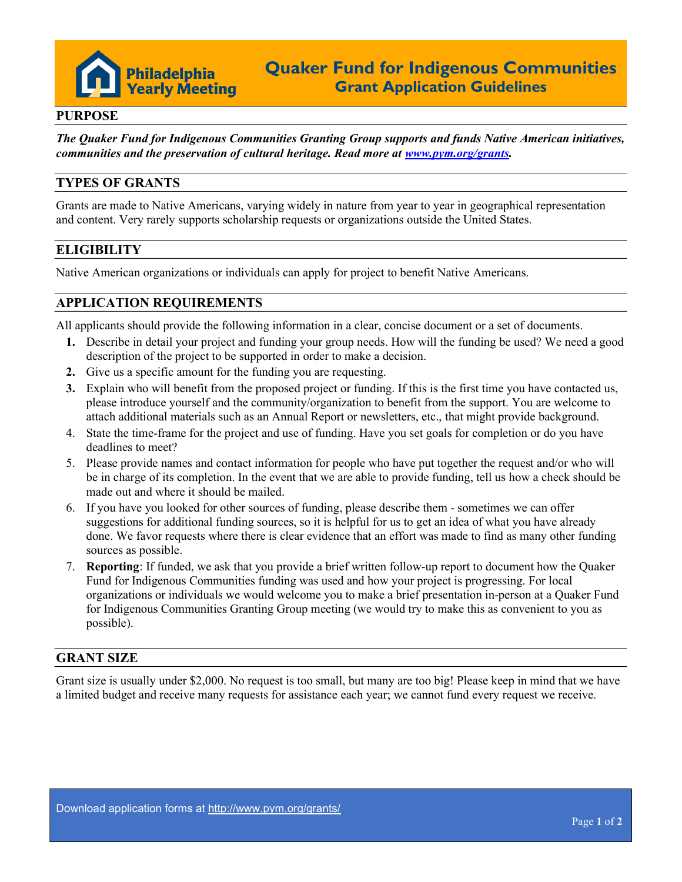

#### PURPOSE

The Quaker Fund for Indigenous Communities Granting Group supports and funds Native American initiatives, communities and the preservation of cultural heritage. Read more at www.pym.org/grants.

### TYPES OF GRANTS

Grants are made to Native Americans, varying widely in nature from year to year in geographical representation and content. Very rarely supports scholarship requests or organizations outside the United States.

### **ELIGIBILITY**

Native American organizations or individuals can apply for project to benefit Native Americans.

### APPLICATION REQUIREMENTS

All applicants should provide the following information in a clear, concise document or a set of documents.

- 1. Describe in detail your project and funding your group needs. How will the funding be used? We need a good description of the project to be supported in order to make a decision.
- 2. Give us a specific amount for the funding you are requesting.
- 3. Explain who will benefit from the proposed project or funding. If this is the first time you have contacted us, please introduce yourself and the community/organization to benefit from the support. You are welcome to attach additional materials such as an Annual Report or newsletters, etc., that might provide background.
- 4. State the time-frame for the project and use of funding. Have you set goals for completion or do you have deadlines to meet?
- 5. Please provide names and contact information for people who have put together the request and/or who will be in charge of its completion. In the event that we are able to provide funding, tell us how a check should be made out and where it should be mailed.
- 6. If you have you looked for other sources of funding, please describe them sometimes we can offer suggestions for additional funding sources, so it is helpful for us to get an idea of what you have already done. We favor requests where there is clear evidence that an effort was made to find as many other funding sources as possible.
- 7. Reporting: If funded, we ask that you provide a brief written follow-up report to document how the Quaker Fund for Indigenous Communities funding was used and how your project is progressing. For local organizations or individuals we would welcome you to make a brief presentation in-person at a Quaker Fund for Indigenous Communities Granting Group meeting (we would try to make this as convenient to you as possible).

#### GRANT SIZE

Grant size is usually under \$2,000. No request is too small, but many are too big! Please keep in mind that we have a limited budget and receive many requests for assistance each year; we cannot fund every request we receive.